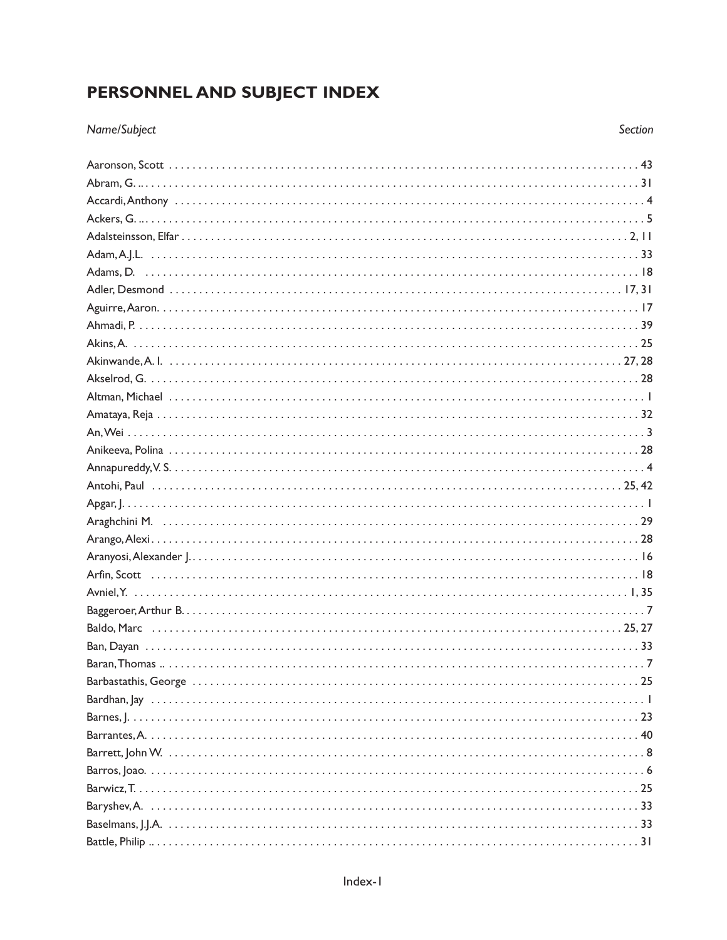## PERSONNEL AND SUBJECT INDEX

## Name/Subject

Section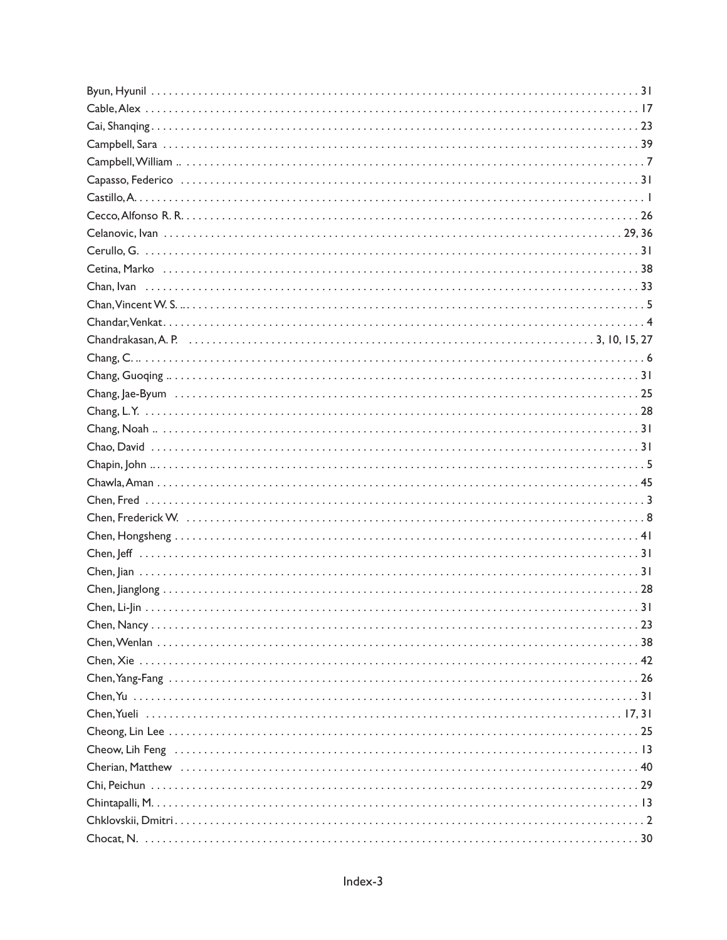| Chandrakasan, A. P. (27) 72. (27) 22. (27) 23. (27) 23. (27) 24. (28) 24. (28) 24. (28) 25. (28) 27. (28) 27. (28) 27. (28) 27. (28) 27. (28) 27. (28) 27. (28) 27. (28) 27. (28) 27. (28) 27. (28) 27. (28) 27. (28) 27. (28) |
|--------------------------------------------------------------------------------------------------------------------------------------------------------------------------------------------------------------------------------|
|                                                                                                                                                                                                                                |
|                                                                                                                                                                                                                                |
|                                                                                                                                                                                                                                |
|                                                                                                                                                                                                                                |
|                                                                                                                                                                                                                                |
|                                                                                                                                                                                                                                |
|                                                                                                                                                                                                                                |
|                                                                                                                                                                                                                                |
|                                                                                                                                                                                                                                |
|                                                                                                                                                                                                                                |
|                                                                                                                                                                                                                                |
|                                                                                                                                                                                                                                |
|                                                                                                                                                                                                                                |
|                                                                                                                                                                                                                                |
|                                                                                                                                                                                                                                |
|                                                                                                                                                                                                                                |
|                                                                                                                                                                                                                                |
|                                                                                                                                                                                                                                |
|                                                                                                                                                                                                                                |
|                                                                                                                                                                                                                                |
|                                                                                                                                                                                                                                |
|                                                                                                                                                                                                                                |
|                                                                                                                                                                                                                                |
|                                                                                                                                                                                                                                |
|                                                                                                                                                                                                                                |
|                                                                                                                                                                                                                                |
|                                                                                                                                                                                                                                |
|                                                                                                                                                                                                                                |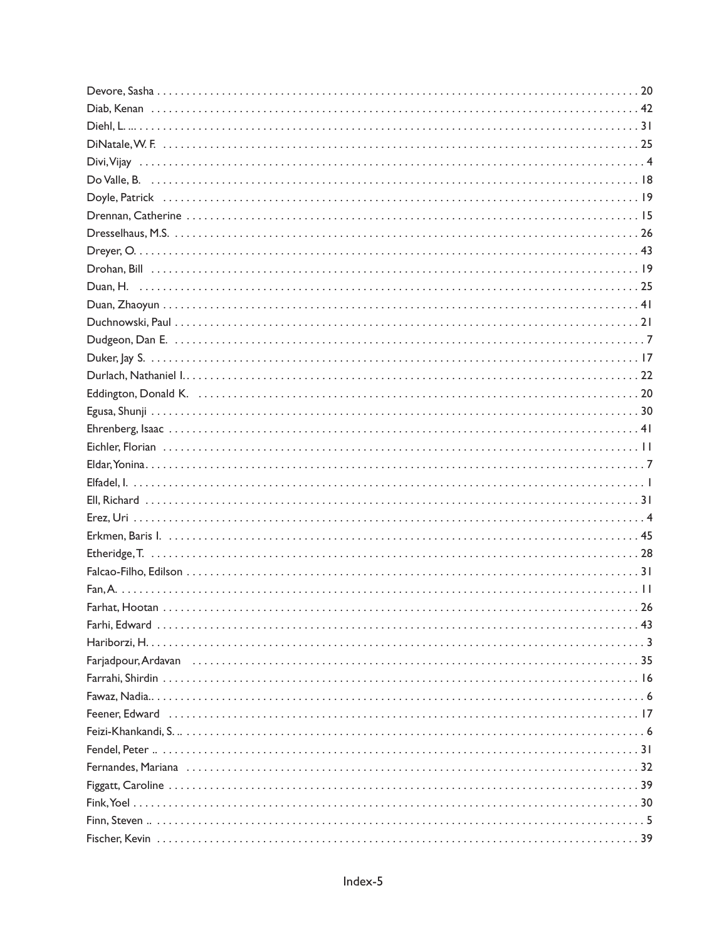| Eddington, Donald K. (a) and a control of the control of the control of the control of the control of the control of the control of the control of the control of the control of the control of the control of the control of |  |
|-------------------------------------------------------------------------------------------------------------------------------------------------------------------------------------------------------------------------------|--|
|                                                                                                                                                                                                                               |  |
|                                                                                                                                                                                                                               |  |
|                                                                                                                                                                                                                               |  |
|                                                                                                                                                                                                                               |  |
|                                                                                                                                                                                                                               |  |
|                                                                                                                                                                                                                               |  |
|                                                                                                                                                                                                                               |  |
|                                                                                                                                                                                                                               |  |
|                                                                                                                                                                                                                               |  |
|                                                                                                                                                                                                                               |  |
|                                                                                                                                                                                                                               |  |
|                                                                                                                                                                                                                               |  |
|                                                                                                                                                                                                                               |  |
|                                                                                                                                                                                                                               |  |
|                                                                                                                                                                                                                               |  |
|                                                                                                                                                                                                                               |  |
|                                                                                                                                                                                                                               |  |
|                                                                                                                                                                                                                               |  |
|                                                                                                                                                                                                                               |  |
|                                                                                                                                                                                                                               |  |
|                                                                                                                                                                                                                               |  |
|                                                                                                                                                                                                                               |  |
|                                                                                                                                                                                                                               |  |
|                                                                                                                                                                                                                               |  |
|                                                                                                                                                                                                                               |  |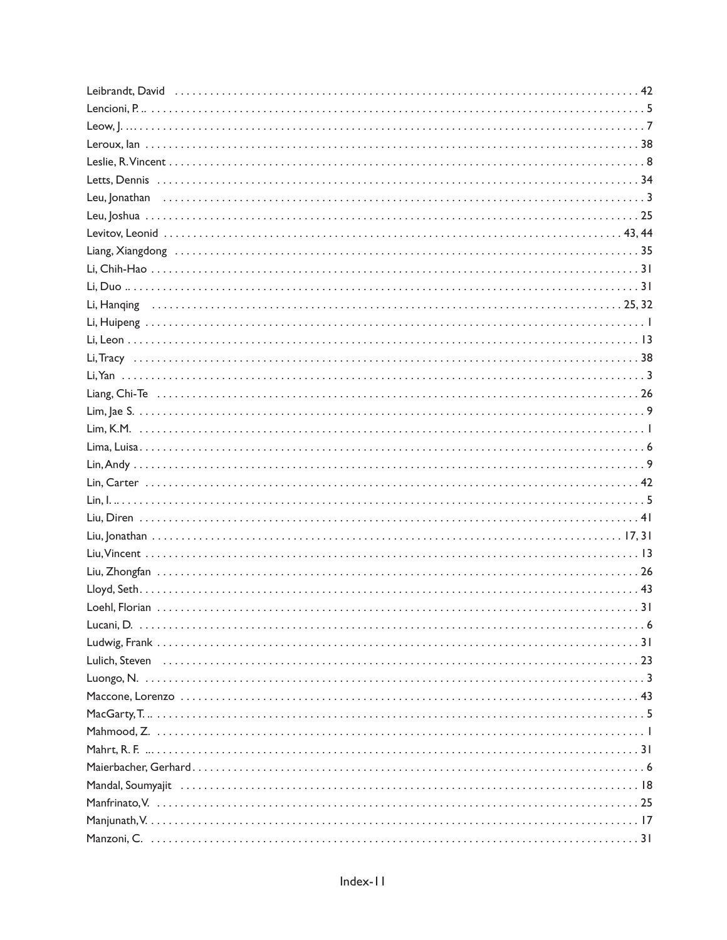| $MacGarty, T.                    5$ |
|-------------------------------------|
|                                     |
|                                     |
|                                     |
|                                     |
|                                     |
|                                     |
|                                     |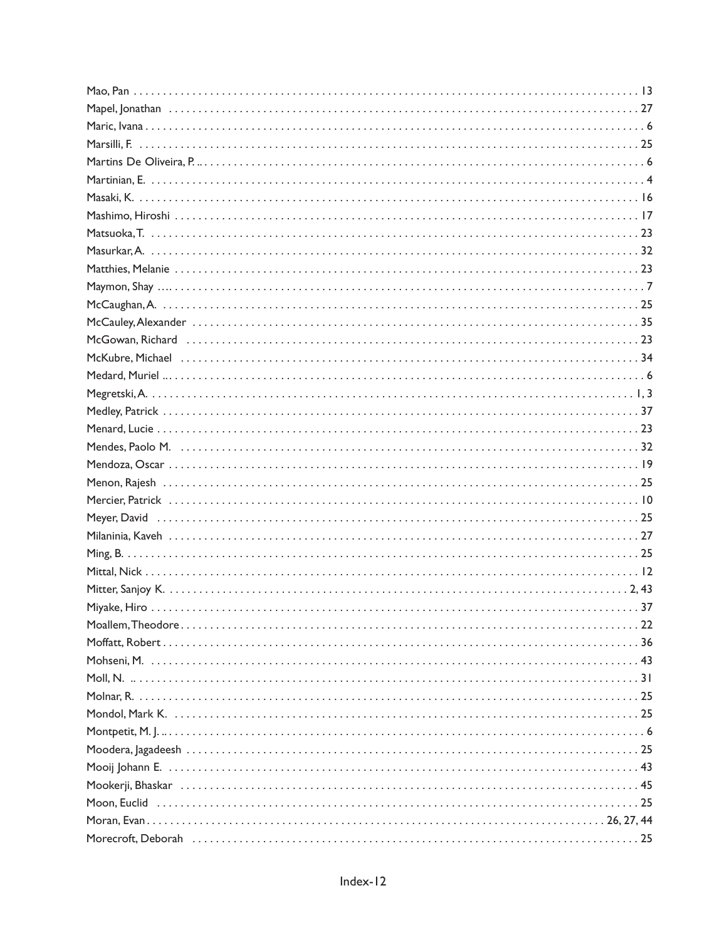| McGowan, Richard (accordination) 23 and 20 and 20 and 20 and 20 and 20 and 20 and 20 and 20 and 20 and 20 and 20 and 20 and 20 and 20 and 20 and 20 and 20 and 20 and 20 and 20 and 20 and 20 and 20 and 20 and 20 and 20 and |
|-------------------------------------------------------------------------------------------------------------------------------------------------------------------------------------------------------------------------------|
|                                                                                                                                                                                                                               |
|                                                                                                                                                                                                                               |
|                                                                                                                                                                                                                               |
|                                                                                                                                                                                                                               |
|                                                                                                                                                                                                                               |
|                                                                                                                                                                                                                               |
|                                                                                                                                                                                                                               |
|                                                                                                                                                                                                                               |
|                                                                                                                                                                                                                               |
|                                                                                                                                                                                                                               |
|                                                                                                                                                                                                                               |
|                                                                                                                                                                                                                               |
|                                                                                                                                                                                                                               |
|                                                                                                                                                                                                                               |
|                                                                                                                                                                                                                               |
|                                                                                                                                                                                                                               |
|                                                                                                                                                                                                                               |
|                                                                                                                                                                                                                               |
|                                                                                                                                                                                                                               |
|                                                                                                                                                                                                                               |
|                                                                                                                                                                                                                               |
|                                                                                                                                                                                                                               |
|                                                                                                                                                                                                                               |
|                                                                                                                                                                                                                               |
|                                                                                                                                                                                                                               |
|                                                                                                                                                                                                                               |
|                                                                                                                                                                                                                               |
|                                                                                                                                                                                                                               |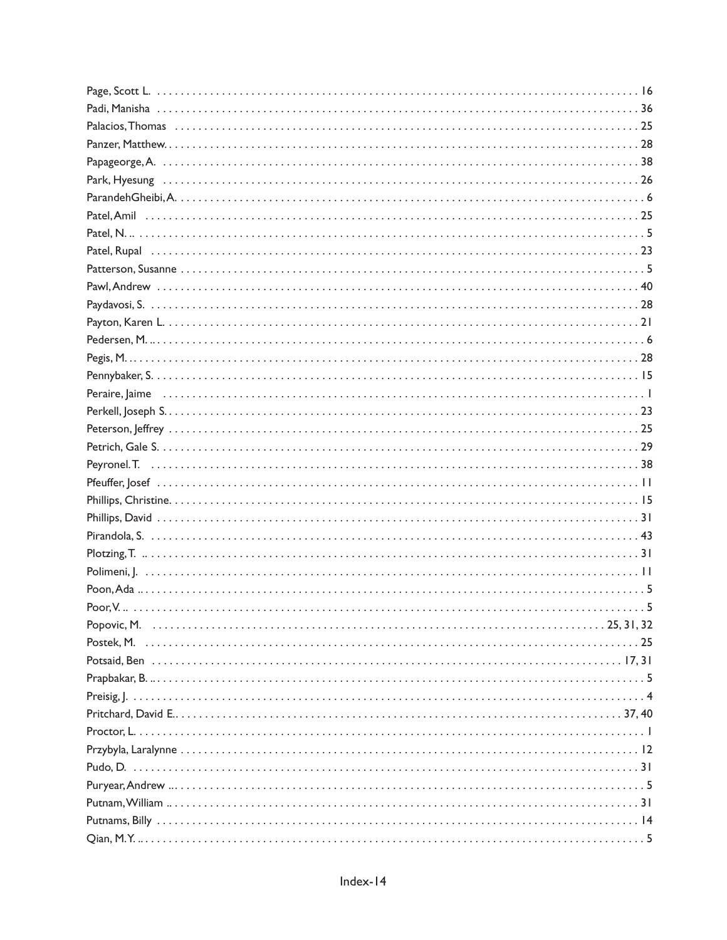| Preisig, $ $ |  |
|--------------|--|
|              |  |
|              |  |
|              |  |
|              |  |
|              |  |
|              |  |
|              |  |
|              |  |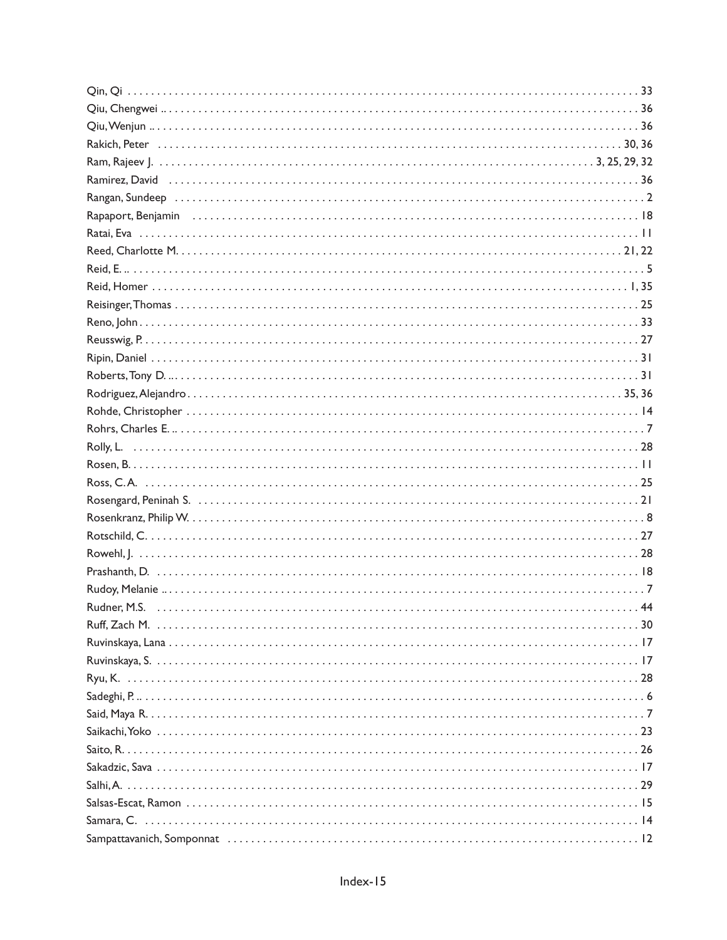| Rakich, Peter (al. 1903) 30, 36 |  |
|---------------------------------|--|
|                                 |  |
|                                 |  |
|                                 |  |
|                                 |  |
|                                 |  |
|                                 |  |
|                                 |  |
|                                 |  |
|                                 |  |
|                                 |  |
|                                 |  |
|                                 |  |
|                                 |  |
|                                 |  |
|                                 |  |
|                                 |  |
|                                 |  |
|                                 |  |
|                                 |  |
|                                 |  |
|                                 |  |
|                                 |  |
|                                 |  |
|                                 |  |
|                                 |  |
|                                 |  |
|                                 |  |
|                                 |  |
|                                 |  |
|                                 |  |
|                                 |  |
|                                 |  |
|                                 |  |
|                                 |  |
|                                 |  |
|                                 |  |
|                                 |  |
|                                 |  |
|                                 |  |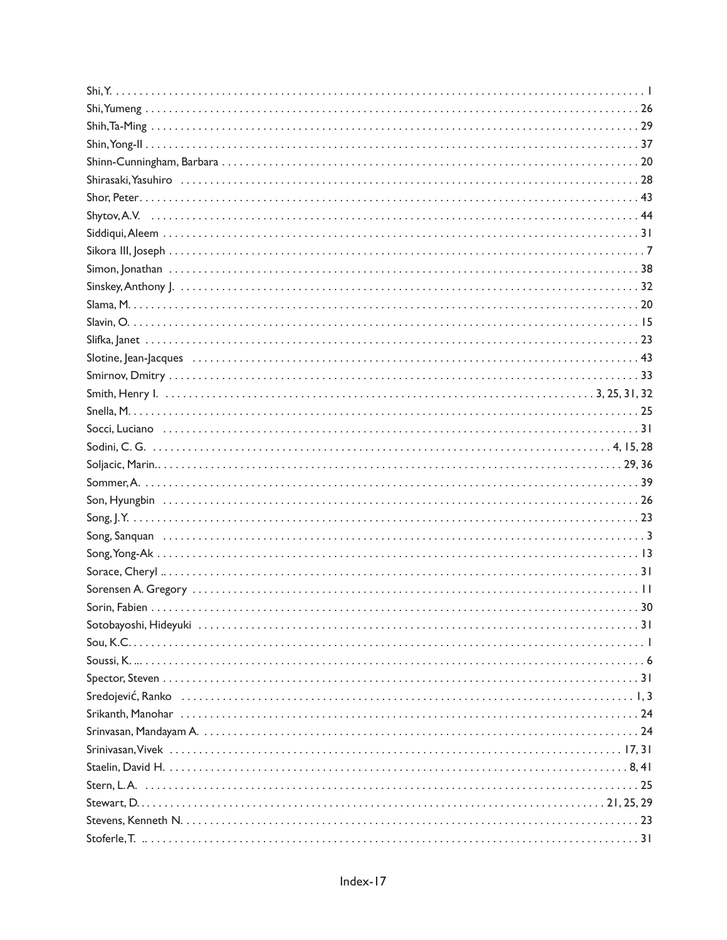| $\mathsf{Song},\mathsf{Yong-Ak}$ |  |
|----------------------------------|--|
|                                  |  |
|                                  |  |
|                                  |  |
|                                  |  |
|                                  |  |
|                                  |  |
|                                  |  |
|                                  |  |
|                                  |  |
|                                  |  |
|                                  |  |
|                                  |  |
|                                  |  |
|                                  |  |
|                                  |  |
|                                  |  |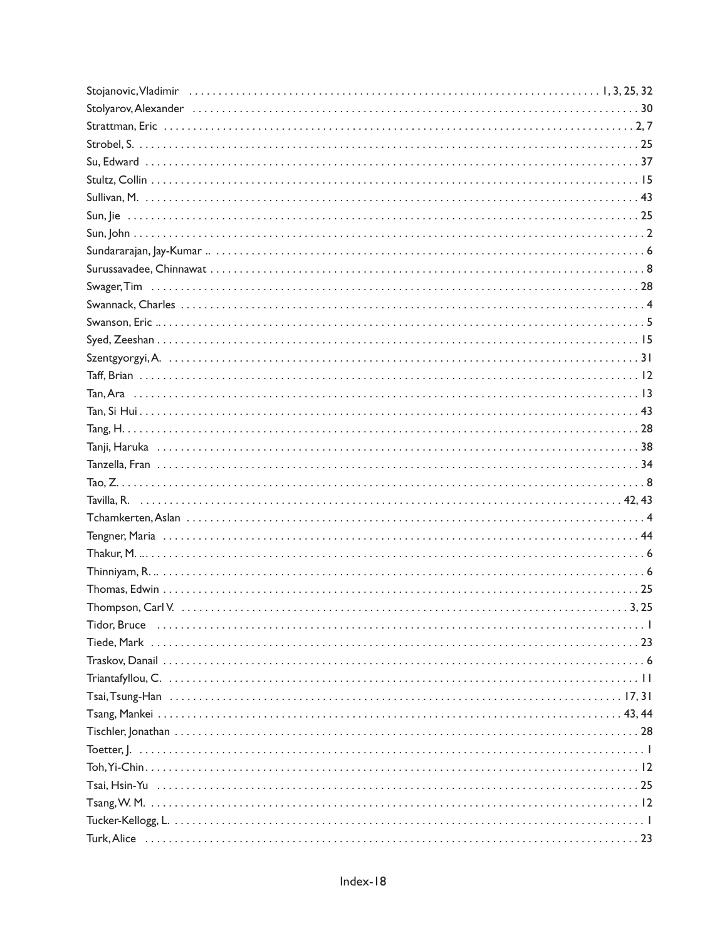| Tavilla, R. (2001). (2014). Tavilla, R. (2014). (2014). (2014). Tavilla, R. (2014). (2014). (2014). (2014). (20 |  |
|-----------------------------------------------------------------------------------------------------------------|--|
|                                                                                                                 |  |
|                                                                                                                 |  |
|                                                                                                                 |  |
|                                                                                                                 |  |
|                                                                                                                 |  |
|                                                                                                                 |  |
|                                                                                                                 |  |
|                                                                                                                 |  |
|                                                                                                                 |  |
|                                                                                                                 |  |
|                                                                                                                 |  |
|                                                                                                                 |  |
|                                                                                                                 |  |
|                                                                                                                 |  |
|                                                                                                                 |  |
|                                                                                                                 |  |
|                                                                                                                 |  |
|                                                                                                                 |  |
|                                                                                                                 |  |